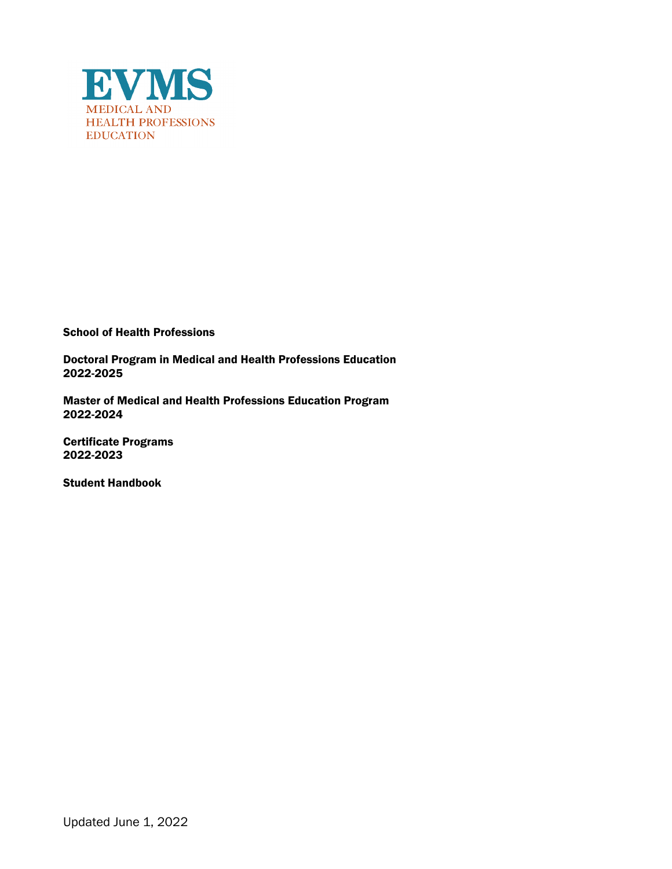

School of Health Professions

Doctoral Program in Medical and Health Professions Education 2022-2025

Master of Medical and Health Professions Education Program 2022-2024

Certificate Programs 2022-2023

Student Handbook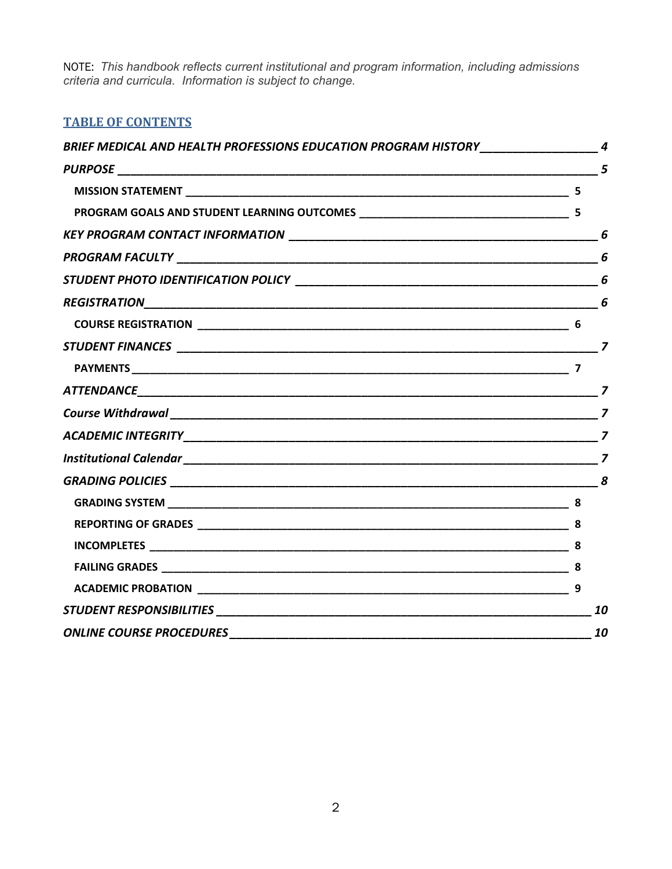NOTE: *This handbook reflects current institutional and program information, including admissions criteria and curricula. Information is subject to change.*

# **TABLE OF CONTENTS**

| BRIEF MEDICAL AND HEALTH PROFESSIONS EDUCATION PROGRAM HISTORY __________________ 4 |    |
|-------------------------------------------------------------------------------------|----|
|                                                                                     |    |
|                                                                                     |    |
|                                                                                     |    |
|                                                                                     |    |
|                                                                                     | 6  |
|                                                                                     |    |
|                                                                                     |    |
|                                                                                     |    |
|                                                                                     |    |
|                                                                                     |    |
|                                                                                     |    |
|                                                                                     |    |
|                                                                                     |    |
|                                                                                     |    |
|                                                                                     |    |
|                                                                                     |    |
|                                                                                     |    |
|                                                                                     |    |
|                                                                                     |    |
|                                                                                     |    |
|                                                                                     | 10 |
|                                                                                     | 10 |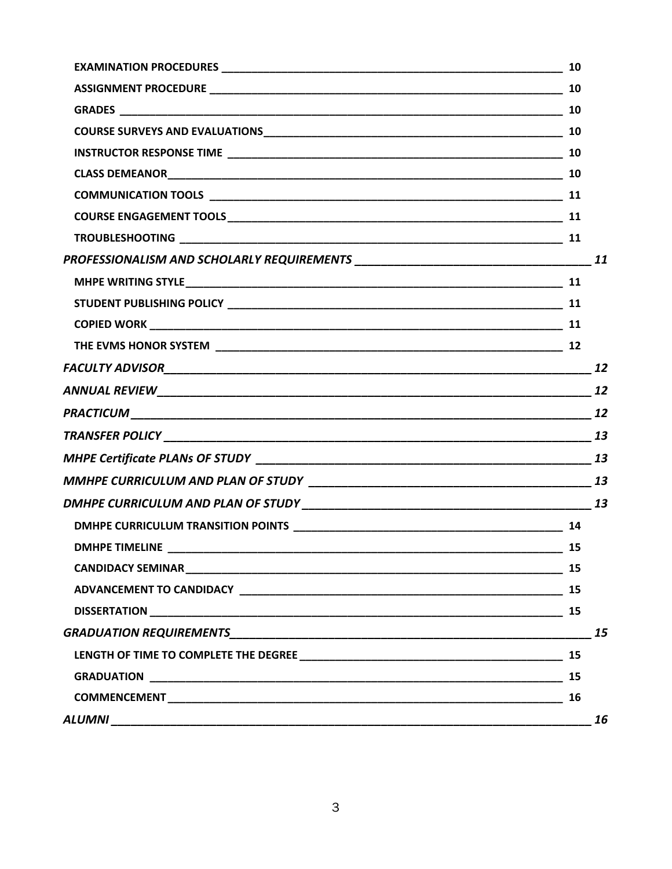|                       | - 10                        |
|-----------------------|-----------------------------|
|                       |                             |
|                       |                             |
|                       |                             |
|                       |                             |
|                       |                             |
|                       |                             |
|                       |                             |
|                       |                             |
|                       |                             |
|                       |                             |
|                       |                             |
| FACULTY ADVISOR 12    |                             |
|                       |                             |
|                       | 12                          |
|                       |                             |
|                       |                             |
|                       |                             |
|                       |                             |
|                       |                             |
| <b>DMHPE TIMELINE</b> | $\overline{\phantom{1}}$ 15 |
|                       |                             |
|                       |                             |
|                       |                             |
|                       | 15                          |
|                       |                             |
|                       |                             |
|                       | 16                          |
|                       | 16                          |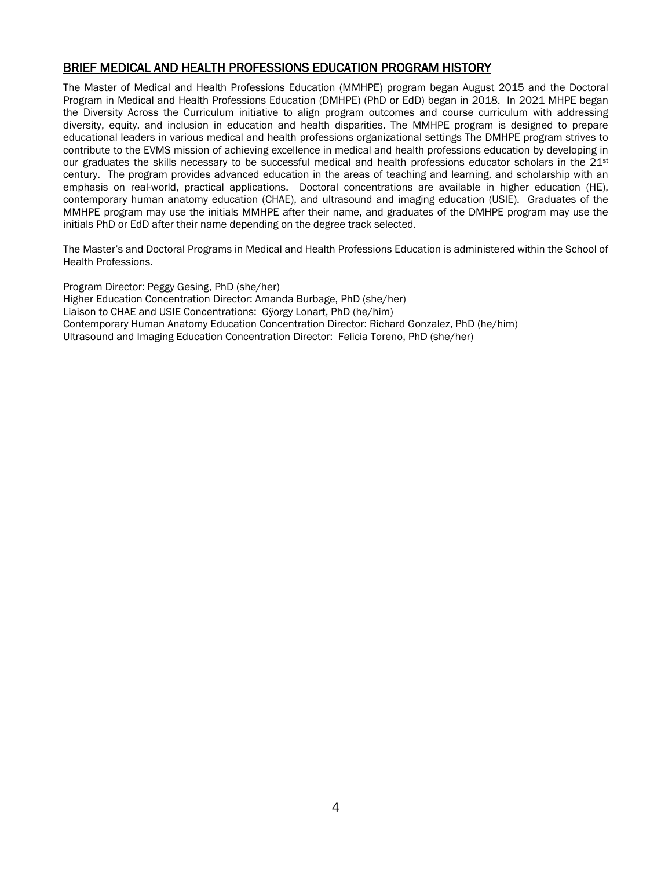# <span id="page-3-0"></span>BRIEF MEDICAL AND HEALTH PROFESSIONS EDUCATION PROGRAM HISTORY

The Master of Medical and Health Professions Education (MMHPE) program began August 2015 and the Doctoral Program in Medical and Health Professions Education (DMHPE) (PhD or EdD) began in 2018. In 2021 MHPE began the Diversity Across the Curriculum initiative to align program outcomes and course curriculum with addressing diversity, equity, and inclusion in education and health disparities. The MMHPE program is designed to prepare educational leaders in various medical and health professions organizational settings The DMHPE program strives to contribute to the EVMS mission of achieving excellence in medical and health professions education by developing in our graduates the skills necessary to be successful medical and health professions educator scholars in the 21st century. The program provides advanced education in the areas of teaching and learning, and scholarship with an emphasis on real-world, practical applications. Doctoral concentrations are available in higher education (HE), contemporary human anatomy education (CHAE), and ultrasound and imaging education (USIE). Graduates of the MMHPE program may use the initials MMHPE after their name, and graduates of the DMHPE program may use the initials PhD or EdD after their name depending on the degree track selected.

The Master's and Doctoral Programs in Medical and Health Professions Education is administered within the School of Health Professions.

Program Director: Peggy Gesing, PhD (she/her) Higher Education Concentration Director: Amanda Burbage, PhD (she/her) Liaison to CHAE and USIE Concentrations: Gÿorgy Lonart, PhD (he/him) Contemporary Human Anatomy Education Concentration Director: Richard Gonzalez, PhD (he/him) Ultrasound and Imaging Education Concentration Director: Felicia Toreno, PhD (she/her)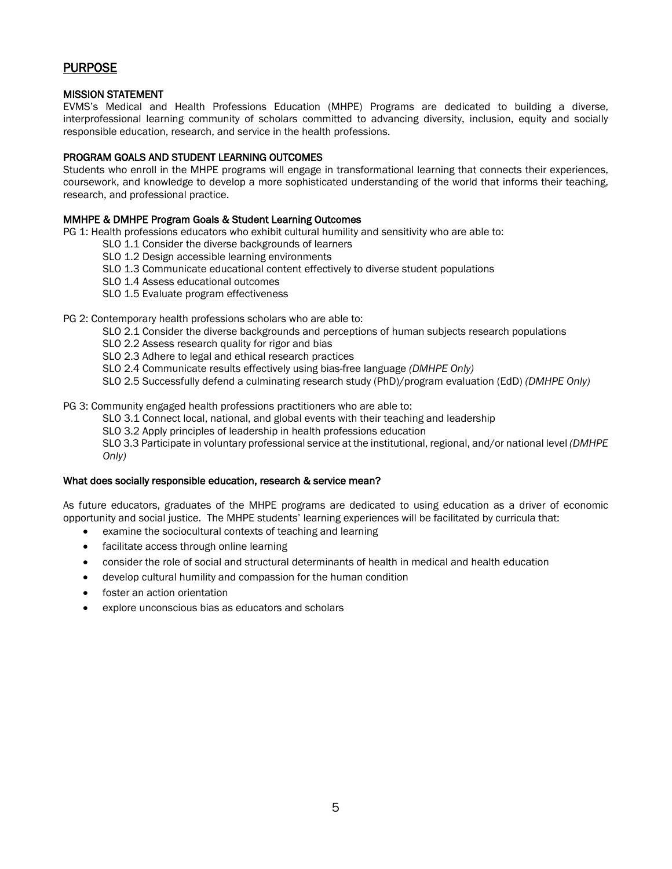# <span id="page-4-0"></span>PURPOSE

## <span id="page-4-1"></span>MISSION STATEMENT

EVMS's Medical and Health Professions Education (MHPE) Programs are dedicated to building a diverse, interprofessional learning community of scholars committed to advancing diversity, inclusion, equity and socially responsible education, research, and service in the health professions.

## <span id="page-4-2"></span>PROGRAM GOALS AND STUDENT LEARNING OUTCOMES

Students who enroll in the MHPE programs will engage in transformational learning that connects their experiences, coursework, and knowledge to develop a more sophisticated understanding of the world that informs their teaching, research, and professional practice.

## MMHPE & DMHPE Program Goals & Student Learning Outcomes

PG 1: Health professions educators who exhibit cultural humility and sensitivity who are able to:

- SLO 1.1 Consider the diverse backgrounds of learners
	- SLO 1.2 Design accessible learning environments
	- SLO 1.3 Communicate educational content effectively to diverse student populations
	- SLO 1.4 Assess educational outcomes
	- SLO 1.5 Evaluate program effectiveness

#### PG 2: Contemporary health professions scholars who are able to:

- SLO 2.1 Consider the diverse backgrounds and perceptions of human subjects research populations
- SLO 2.2 Assess research quality for rigor and bias
- SLO 2.3 Adhere to legal and ethical research practices
- SLO 2.4 Communicate results effectively using bias-free language *(DMHPE Only)*
- SLO 2.5 Successfully defend a culminating research study (PhD)/program evaluation (EdD) *(DMHPE Only)*

#### PG 3: Community engaged health professions practitioners who are able to:

- SLO 3.1 Connect local, national, and global events with their teaching and leadership
- SLO 3.2 Apply principles of leadership in health professions education

SLO 3.3 Participate in voluntary professional service at the institutional, regional, and/or national level *(DMHPE Only)*

#### What does socially responsible education, research & service mean?

As future educators, graduates of the MHPE programs are dedicated to using education as a driver of economic opportunity and social justice. The MHPE students' learning experiences will be facilitated by curricula that:

- examine the sociocultural contexts of teaching and learning
- facilitate access through online learning
- consider the role of social and structural determinants of health in medical and health education
- develop cultural humility and compassion for the human condition
- foster an action orientation
- explore unconscious bias as educators and scholars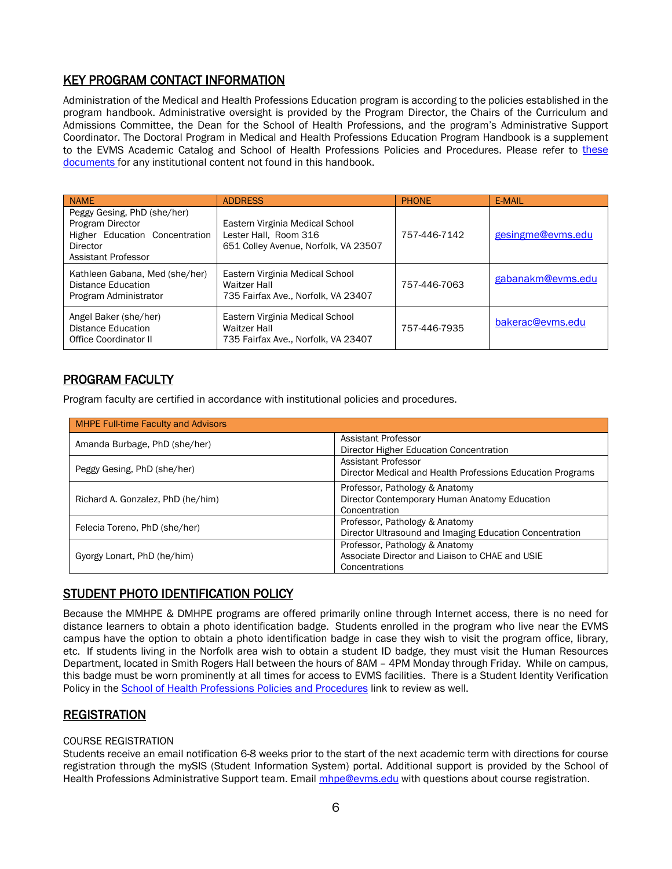# <span id="page-5-0"></span>KEY PROGRAM CONTACT INFORMATION

Administration of the Medical and Health Professions Education program is according to the policies established in the program handbook. Administrative oversight is provided by the Program Director, the Chairs of the Curriculum and Admissions Committee, the Dean for the School of Health Professions, and the program's Administrative Support Coordinator. The Doctoral Program in Medical and Health Professions Education Program Handbook is a supplement to the EVMS Academic Catalog and School of Health Professions Policies and Procedures. Please refer to these [documents](https://www.evms.edu/education/resources/student_policies_handbooks/institutional_student_handbook/) for any institutional content not found in this handbook.

| <b>NAME</b>                                                                                                                 | <b>ADDRESS</b>                                                                                   | <b>PHONE</b> | E-MAIL            |
|-----------------------------------------------------------------------------------------------------------------------------|--------------------------------------------------------------------------------------------------|--------------|-------------------|
| Peggy Gesing, PhD (she/her)<br>Program Director<br>Higher Education Concentration<br>Director<br><b>Assistant Professor</b> | Eastern Virginia Medical School<br>Lester Hall, Room 316<br>651 Colley Avenue, Norfolk, VA 23507 | 757-446-7142 | gesingme@evms.edu |
| Kathleen Gabana, Med (she/her)<br>Distance Education<br>Program Administrator                                               | Eastern Virginia Medical School<br><b>Waitzer Hall</b><br>735 Fairfax Ave., Norfolk, VA 23407    | 757-446-7063 | gabanakm@evms.edu |
| Angel Baker (she/her)<br>Distance Education<br><b>Office Coordinator II</b>                                                 | Eastern Virginia Medical School<br><b>Waitzer Hall</b><br>735 Fairfax Ave., Norfolk, VA 23407    | 757-446-7935 | bakerac@evms.edu  |

# <span id="page-5-1"></span>PROGRAM FACULTY

Program faculty are certified in accordance with institutional policies and procedures.

| <b>MHPE Full-time Faculty and Advisors</b> |                                                                                                     |
|--------------------------------------------|-----------------------------------------------------------------------------------------------------|
| Amanda Burbage, PhD (she/her)              | Assistant Professor<br>Director Higher Education Concentration                                      |
| Peggy Gesing, PhD (she/her)                | <b>Assistant Professor</b><br>Director Medical and Health Professions Education Programs            |
| Richard A. Gonzalez, PhD (he/him)          | Professor, Pathology & Anatomy<br>Director Contemporary Human Anatomy Education<br>Concentration    |
| Felecia Toreno, PhD (she/her)              | Professor, Pathology & Anatomy<br>Director Ultrasound and Imaging Education Concentration           |
| Gyorgy Lonart, PhD (he/him)                | Professor, Pathology & Anatomy<br>Associate Director and Liaison to CHAE and USIE<br>Concentrations |

# <span id="page-5-2"></span>STUDENT PHOTO IDENTIFICATION POLICY

Because the MMHPE & DMHPE programs are offered primarily online through Internet access, there is no need for distance learners to obtain a photo identification badge. Students enrolled in the program who live near the EVMS campus have the option to obtain a photo identification badge in case they wish to visit the program office, library, etc. If students living in the Norfolk area wish to obtain a student ID badge, they must visit the Human Resources Department, located in Smith Rogers Hall between the hours of 8AM – 4PM Monday through Friday. While on campus, this badge must be worn prominently at all times for access to EVMS facilities. There is a Student Identity Verification Policy in the **School of Health Professions Policies and Procedures** link to review as well.

# <span id="page-5-3"></span>**REGISTRATION**

## <span id="page-5-4"></span>COURSE REGISTRATION

Students receive an email notification 6-8 weeks prior to the start of the next academic term with directions for course registration through the mySIS (Student Information System) portal. Additional support is provided by the School of Health Professions Administrative Support team. Email *mhpe@evms.edu* with questions about course registration.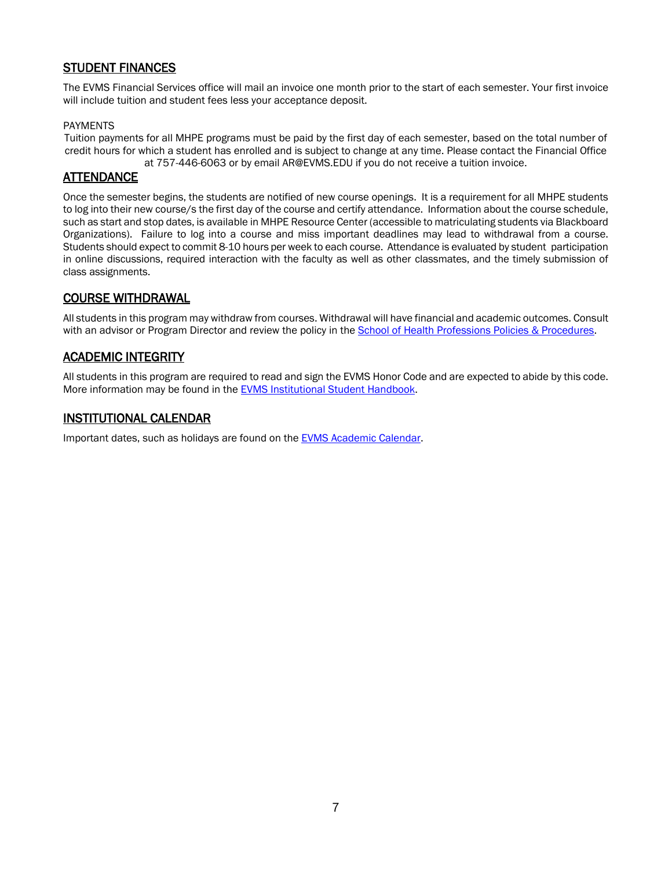# <span id="page-6-0"></span>STUDENT FINANCES

The EVMS Financial Services office will mail an invoice one month prior to the start of each semester. Your first invoice will include tuition and student fees less your acceptance deposit.

## <span id="page-6-1"></span>PAYMENTS

Tuition payments for all MHPE programs must be paid by the first day of each semester, based on the total number of credit hours for which a student has enrolled and is subject to change at any time. Please contact the Financial Office at 757-446-6063 or by email AR@EVMS.EDU if you do not receive a tuition invoice.

## <span id="page-6-2"></span>**ATTENDANCE**

Once the semester begins, the students are notified of new course openings. It is a requirement for all MHPE students to log into their new course/s the first day of the course and certify attendance. Information about the course schedule, such as start and stop dates, is available in MHPE Resource Center (accessible to matriculating students via Blackboard Organizations). Failure to log into a course and miss important deadlines may lead to withdrawal from a course. Students should expect to commit 8-10 hours per week to each course. Attendance is evaluated by student participation in online discussions, required interaction with the faculty as well as other classmates, and the timely submission of class assignments.

## <span id="page-6-3"></span>COURSE WITHDRAWAL

All students in this program may withdraw from courses. Withdrawal will have financial and academic outcomes. Consult with an advisor or Program Director and review the policy in the School of Health Professions Policies & Procedures.

## <span id="page-6-4"></span>ACADEMIC INTEGRITY

All students in this program are required to read and sign the EVMS Honor Code and are expected to abide by this code. More information may be found in the **EVMS** Institutional Student Handbook.

## <span id="page-6-5"></span>INSTITUTIONAL CALENDAR

Important dates, such as holidays are found on th[e EVMS Academic Calendar.](https://www.evms.edu/education/resources/academic_calendars/)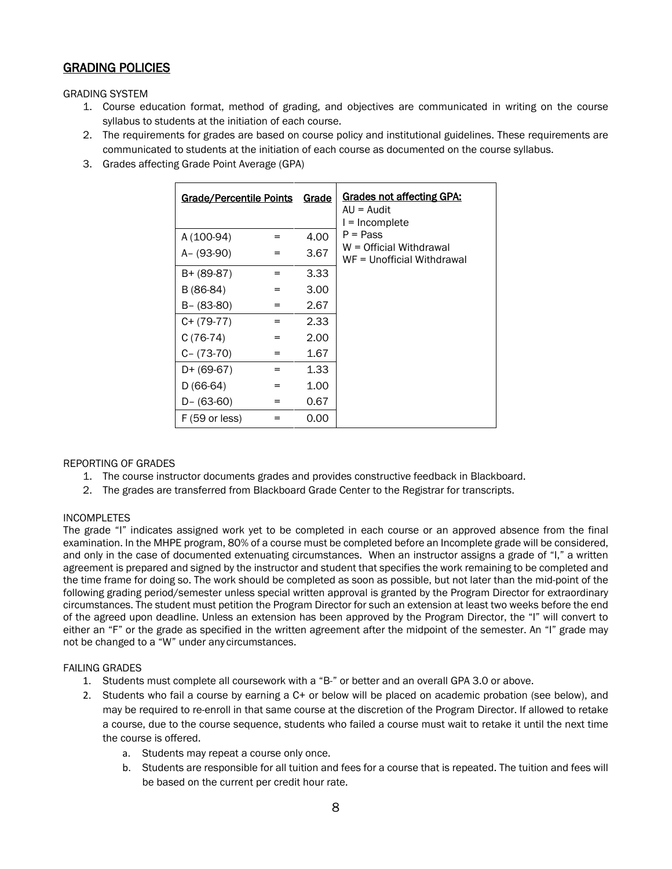# <span id="page-7-0"></span>GRADING POLICIES

<span id="page-7-1"></span>GRADING SYSTEM

- 1. Course education format, method of grading, and objectives are communicated in writing on the course syllabus to students at the initiation of each course.
- 2. The requirements for grades are based on course policy and institutional guidelines. These requirements are communicated to students at the initiation of each course as documented on the course syllabus.
- 3. Grades affecting Grade Point Average (GPA)

| <b>Grade/Percentile Points</b> |     | <b>Grade</b> | Grades not affecting GPA:<br>$AU = Audit$<br>$l = Incomplete$ |
|--------------------------------|-----|--------------|---------------------------------------------------------------|
| A (100-94)                     | =   | 4.00         | $P = Pass$                                                    |
| A- (93-90)                     | $=$ | 3.67         | W = Official Withdrawal<br>WF = Unofficial Withdrawal         |
| $B+ (89-87)$                   | $=$ | 3.33         |                                                               |
| B (86-84)                      | $=$ | 3.00         |                                                               |
| $B - (83-80)$                  | =   | 2.67         |                                                               |
| $C+ (79-77)$                   | $=$ | 2.33         |                                                               |
| $C(76-74)$                     | $=$ | 2.00         |                                                               |
| $C - (73-70)$                  | =   | 1.67         |                                                               |
| $D+ (69-67)$                   | =   | 1.33         |                                                               |
| $D(66-64)$                     | $=$ | 1.00         |                                                               |
| $D - (63-60)$                  | =   | 0.67         |                                                               |
| $F(59 \text{ or less})$        | =   | 0.00         |                                                               |

## <span id="page-7-2"></span>REPORTING OF GRADES

- 1. The course instructor documents grades and provides constructive feedback in Blackboard.
- 2. The grades are transferred from Blackboard Grade Center to the Registrar for transcripts.

## <span id="page-7-3"></span>INCOMPLETES

The grade "I" indicates assigned work yet to be completed in each course or an approved absence from the final examination. In the MHPE program, 80% of a course must be completed before an Incomplete grade will be considered, and only in the case of documented extenuating circumstances. When an instructor assigns a grade of "I," a written agreement is prepared and signed by the instructor and student that specifies the work remaining to be completed and the time frame for doing so. The work should be completed as soon as possible, but not later than the mid-point of the following grading period/semester unless special written approval is granted by the Program Director for extraordinary circumstances. The student must petition the Program Director for such an extension at least two weeks before the end of the agreed upon deadline. Unless an extension has been approved by the Program Director, the "I" will convert to either an "F" or the grade as specified in the written agreement after the midpoint of the semester. An "I" grade may not be changed to a "W" under any circumstances.

## <span id="page-7-4"></span>FAILING GRADES

- 1. Students must complete all coursework with a "B-" or better and an overall GPA 3.0 or above.
- 2. Students who fail a course by earning a C+ or below will be placed on academic probation (see below), and may be required to re-enroll in that same course at the discretion of the Program Director. If allowed to retake a course, due to the course sequence, students who failed a course must wait to retake it until the next time the course is offered.
	- a. Students may repeat a course only once.
	- b. Students are responsible for all tuition and fees for a course that is repeated. The tuition and fees will be based on the current per credit hour rate.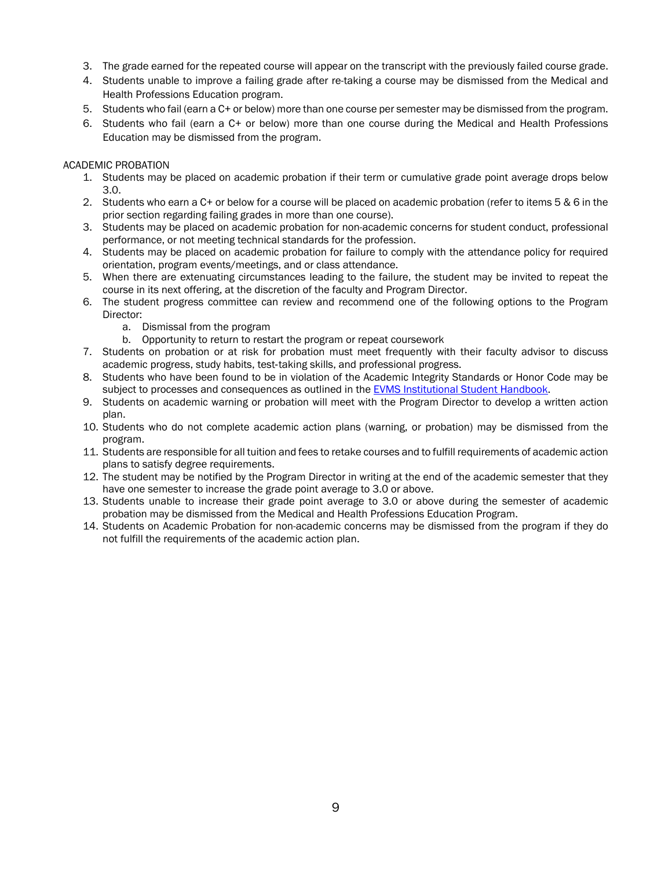- 3. The grade earned for the repeated course will appear on the transcript with the previously failed course grade.
- 4. Students unable to improve a failing grade after re-taking a course may be dismissed from the Medical and Health Professions Education program.
- 5. Students who fail (earn a C+ or below) more than one course per semester may be dismissed from the program.
- 6. Students who fail (earn a C+ or below) more than one course during the Medical and Health Professions Education may be dismissed from the program.

## <span id="page-8-0"></span>ACADEMIC PROBATION

- 1. Students may be placed on academic probation if their term or cumulative grade point average drops below 3.0.
- 2. Students who earn a C+ or below for a course will be placed on academic probation (refer to items 5 & 6 in the prior section regarding failing grades in more than one course).
- 3. Students may be placed on academic probation for non-academic concerns for student conduct, professional performance, or not meeting technical standards for the profession.
- 4. Students may be placed on academic probation for failure to comply with the attendance policy for required orientation, program events/meetings, and or class attendance.
- 5. When there are extenuating circumstances leading to the failure, the student may be invited to repeat the course in its next offering, at the discretion of the faculty and Program Director.
- 6. The student progress committee can review and recommend one of the following options to the Program Director:
	- a. Dismissal from the program
	- b. Opportunity to return to restart the program or repeat coursework
- 7. Students on probation or at risk for probation must meet frequently with their faculty advisor to discuss academic progress, study habits, test‐taking skills, and professional progress.
- 8. Students who have been found to be in violation of the Academic Integrity Standards or Honor Code may be subject to processes and consequences as outlined in the EVMS Institutional Student Handbook.
- 9. Students on academic warning or probation will meet with the Program Director to develop a written action plan.
- 10. Students who do not complete academic action plans (warning, or probation) may be dismissed from the program.
- 11. Students are responsible for all tuition and fees to retake courses and to fulfill requirements of academic action plans to satisfy degree requirements.
- 12. The student may be notified by the Program Director in writing at the end of the academic semester that they have one semester to increase the grade point average to 3.0 or above.
- 13. Students unable to increase their grade point average to 3.0 or above during the semester of academic probation may be dismissed from the Medical and Health Professions Education Program.
- 14. Students on Academic Probation for non-academic concerns may be dismissed from the program if they do not fulfill the requirements of the academic action plan.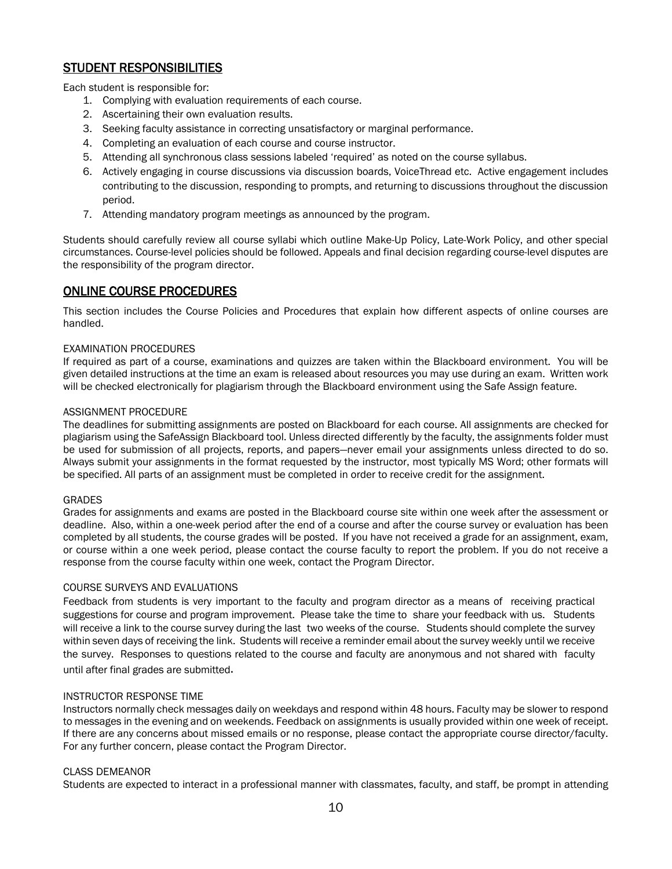# <span id="page-9-0"></span>STUDENT RESPONSIBILITIES

Each student is responsible for:

- 1. Complying with evaluation requirements of each course.
- 2. Ascertaining their own evaluation results.
- 3. Seeking faculty assistance in correcting unsatisfactory or marginal performance.
- 4. Completing an evaluation of each course and course instructor.
- 5. Attending all synchronous class sessions labeled 'required' as noted on the course syllabus.
- 6. Actively engaging in course discussions via discussion boards, VoiceThread etc. Active engagement includes contributing to the discussion, responding to prompts, and returning to discussions throughout the discussion period.
- 7. Attending mandatory program meetings as announced by the program.

Students should carefully review all course syllabi which outline Make-Up Policy, Late-Work Policy, and other special circumstances. Course-level policies should be followed. Appeals and final decision regarding course-level disputes are the responsibility of the program director.

# <span id="page-9-1"></span>ONLINE COURSE PROCEDURES

This section includes the Course Policies and Procedures that explain how different aspects of online courses are handled.

## <span id="page-9-2"></span>EXAMINATION PROCEDURES

If required as part of a course, examinations and quizzes are taken within the Blackboard environment. You will be given detailed instructions at the time an exam is released about resources you may use during an exam. Written work will be checked electronically for plagiarism through the Blackboard environment using the Safe Assign feature.

#### <span id="page-9-3"></span>ASSIGNMENT PROCEDURE

The deadlines for submitting assignments are posted on Blackboard for each course. All assignments are checked for plagiarism using the SafeAssign Blackboard tool. Unless directed differently by the faculty, the assignments folder must be used for submission of all projects, reports, and papers—never email your assignments unless directed to do so. Always submit your assignments in the format requested by the instructor, most typically MS Word; other formats will be specified. All parts of an assignment must be completed in order to receive credit for the assignment.

## <span id="page-9-4"></span>GRADES

Grades for assignments and exams are posted in the Blackboard course site within one week after the assessment or deadline. Also, within a one-week period after the end of a course and after the course survey or evaluation has been completed by all students, the course grades will be posted. If you have not received a grade for an assignment, exam, or course within a one week period, please contact the course faculty to report the problem. If you do not receive a response from the course faculty within one week, contact the Program Director.

## <span id="page-9-5"></span>COURSE SURVEYS AND EVALUATIONS

Feedback from students is very important to the faculty and program director as a means of receiving practical suggestions for course and program improvement. Please take the time to share your feedback with us. Students will receive a link to the course survey during the last two weeks of the course. Students should complete the survey within seven days of receiving the link. Students will receive a reminder email about the survey weekly until we receive the survey. Responses to questions related to the course and faculty are anonymous and not shared with faculty until after final grades are submitted.

## <span id="page-9-6"></span>INSTRUCTOR RESPONSE TIME

Instructors normally check messages daily on weekdays and respond within 48 hours. Faculty may be slower to respond to messages in the evening and on weekends. Feedback on assignments is usually provided within one week of receipt. If there are any concerns about missed emails or no response, please contact the appropriate course director/faculty. For any further concern, please contact the Program Director.

## <span id="page-9-7"></span>CLASS DEMEANOR

Students are expected to interact in a professional manner with classmates, faculty, and staff, be prompt in attending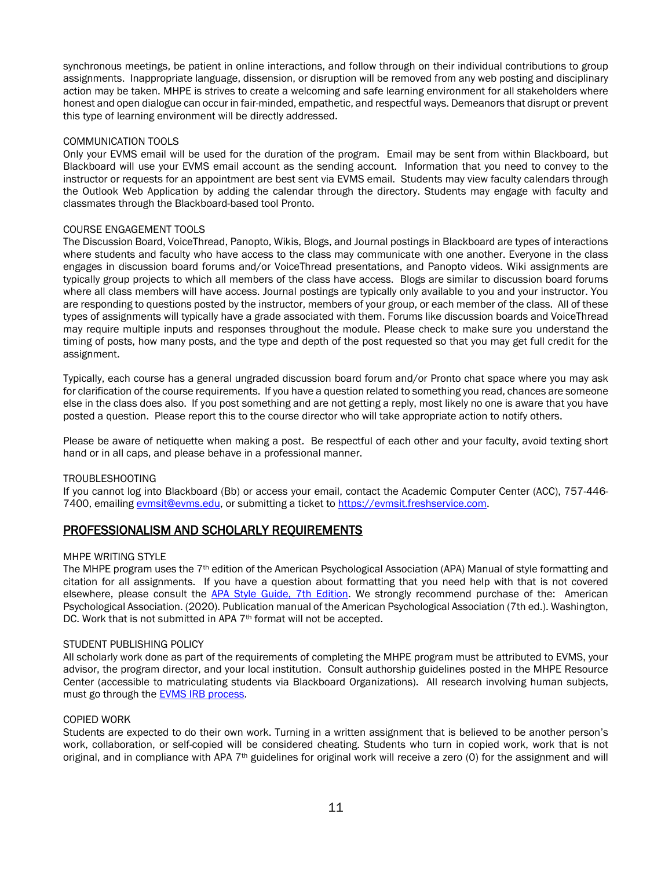synchronous meetings, be patient in online interactions, and follow through on their individual contributions to group assignments. Inappropriate language, dissension, or disruption will be removed from any web posting and disciplinary action may be taken. MHPE is strives to create a welcoming and safe learning environment for all stakeholders where honest and open dialogue can occur in fair-minded, empathetic, and respectful ways. Demeanors that disrupt or prevent this type of learning environment will be directly addressed.

#### <span id="page-10-0"></span>COMMUNICATION TOOLS

Only your EVMS email will be used for the duration of the program. Email may be sent from within Blackboard, but Blackboard will use your EVMS email account as the sending account. Information that you need to convey to the instructor or requests for an appointment are best sent via EVMS email. Students may view faculty calendars through the Outlook Web Application by adding the calendar through the directory. Students may engage with faculty and classmates through the Blackboard-based tool Pronto.

#### <span id="page-10-1"></span>COURSE ENGAGEMENT TOOLS

The Discussion Board, VoiceThread, Panopto, Wikis, Blogs, and Journal postings in Blackboard are types of interactions where students and faculty who have access to the class may communicate with one another. Everyone in the class engages in discussion board forums and/or VoiceThread presentations, and Panopto videos. Wiki assignments are typically group projects to which all members of the class have access. Blogs are similar to discussion board forums where all class members will have access. Journal postings are typically only available to you and your instructor. You are responding to questions posted by the instructor, members of your group, or each member of the class. All of these types of assignments will typically have a grade associated with them. Forums like discussion boards and VoiceThread may require multiple inputs and responses throughout the module. Please check to make sure you understand the timing of posts, how many posts, and the type and depth of the post requested so that you may get full credit for the assignment.

Typically, each course has a general ungraded discussion board forum and/or Pronto chat space where you may ask for clarification of the course requirements. If you have a question related to something you read, chances are someone else in the class does also. If you post something and are not getting a reply, most likely no one is aware that you have posted a question. Please report this to the course director who will take appropriate action to notify others.

Please be aware of netiquette when making a post. Be respectful of each other and your faculty, avoid texting short hand or in all caps, and please behave in a professional manner.

#### <span id="page-10-2"></span>TROUBLESHOOTING

If you cannot log into Blackboard (Bb) or access your email, contact the Academic Computer Center (ACC), 757-446- 7400, emailing [evmsit@evms.edu,](mailto:evmsit@evms.edu) or submitting a ticket to [https://evmsit.freshservice.com.](https://evmsit.freshservice.com/) 

## <span id="page-10-3"></span>PROFESSIONALISM AND SCHOLARLY REQUIREMENTS

#### <span id="page-10-4"></span>MHPE WRITING STYLE

The MHPE program uses the 7<sup>th</sup> edition of the American Psychological Association (APA) Manual of style formatting and citation for all assignments. If you have a question about formatting that you need help with that is not covered elsewhere, please consult the [APA Style Guide, 7th Edition.](http://www.apastyle.org/) We strongly recommend purchase of the: American Psychological Association. (2020). Publication manual of the American Psychological Association (7th ed.). Washington, DC. Work that is not submitted in APA 7<sup>th</sup> format will not be accepted.

#### <span id="page-10-5"></span>STUDENT PUBLISHING POLICY

All scholarly work done as part of the requirements of completing the MHPE program must be attributed to EVMS, your advisor, the program director, and your local institution. Consult authorship guidelines posted in the MHPE Resource Center (accessible to matriculating students via Blackboard Organizations). All research involving human subjects, must go through the **EVMS IRB process**.

#### <span id="page-10-6"></span>COPIED WORK

Students are expected to do their own work. Turning in a written assignment that is believed to be another person's work, collaboration, or self-copied will be considered cheating. Students who turn in copied work, work that is not original, and in compliance with APA  $7<sup>th</sup>$  guidelines for original work will receive a zero (0) for the assignment and will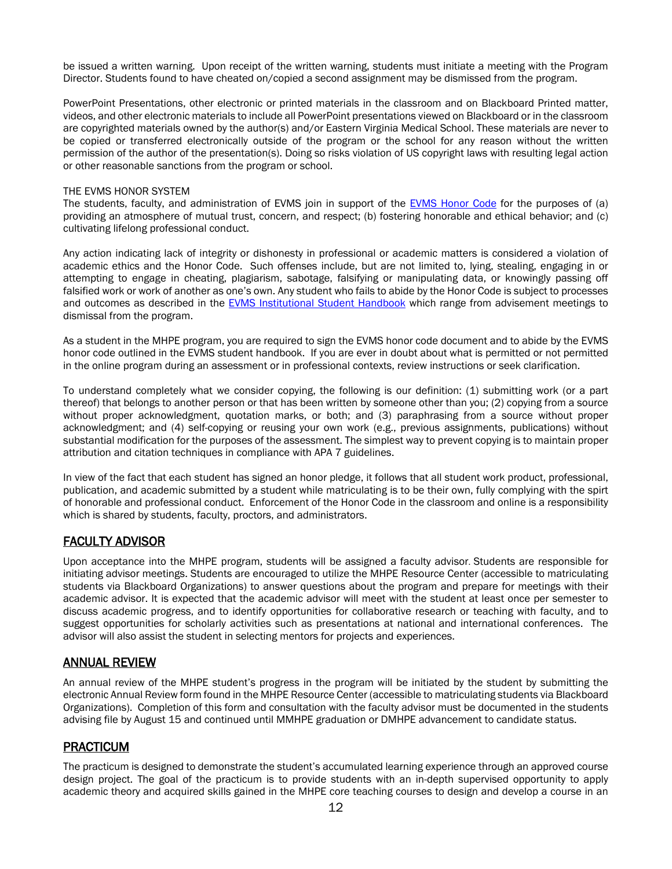be issued a written warning. Upon receipt of the written warning, students must initiate a meeting with the Program Director. Students found to have cheated on/copied a second assignment may be dismissed from the program.

PowerPoint Presentations, other electronic or printed materials in the classroom and on Blackboard Printed matter, videos, and other electronic materials to include all PowerPoint presentations viewed on Blackboard or in the classroom are copyrighted materials owned by the author(s) and/or Eastern Virginia Medical School. These materials are never to be copied or transferred electronically outside of the program or the school for any reason without the written permission of the author of the presentation(s). Doing so risks violation of US copyright laws with resulting legal action or other reasonable sanctions from the program or school.

#### <span id="page-11-0"></span>THE EVMS HONOR SYSTEM

The students, faculty, and administration of EVMS join in support of the [EVMS Honor Code](https://www.evms.edu/education/resources/student_policies_handbooks/institutional_student_handbook/) for the purposes of (a) providing an atmosphere of mutual trust, concern, and respect; (b) fostering honorable and ethical behavior; and (c) cultivating lifelong professional conduct.

Any action indicating lack of integrity or dishonesty in professional or academic matters is considered a violation of academic ethics and the Honor Code. Such offenses include, but are not limited to, lying, stealing, engaging in or attempting to engage in cheating, plagiarism, sabotage, falsifying or manipulating data, or knowingly passing off falsified work or work of another as one's own. Any student who fails to abide by the Honor Code is subject to processes and outcomes as described in the [EVMS Institutional Student Handbook](https://www.evms.edu/education/resources/student_policies_handbooks/institutional_student_handbook/) which range from advisement meetings to dismissal from the program.

As a student in the MHPE program, you are required to sign the EVMS honor code document and to abide by the EVMS honor code outlined in the EVMS student handbook. If you are ever in doubt about what is permitted or not permitted in the online program during an assessment or in professional contexts, review instructions or seek clarification.

To understand completely what we consider copying, the following is our definition: (1) submitting work (or a part thereof) that belongs to another person or that has been written by someone other than you; (2) copying from a source without proper acknowledgment, quotation marks, or both; and (3) paraphrasing from a source without proper acknowledgment; and (4) self-copying or reusing your own work (e.g., previous assignments, publications) without substantial modification for the purposes of the assessment. The simplest way to prevent copying is to maintain proper attribution and citation techniques in compliance with APA 7 guidelines.

In view of the fact that each student has signed an honor pledge, it follows that all student work product, professional, publication, and academic submitted by a student while matriculating is to be their own, fully complying with the spirt of honorable and professional conduct. Enforcement of the Honor Code in the classroom and online is a responsibility which is shared by students, faculty, proctors, and administrators.

## <span id="page-11-1"></span>FACULTY ADVISOR

Upon acceptance into the MHPE program, students will be assigned a faculty advisor. Students are responsible for initiating advisor meetings. Students are encouraged to utilize the MHPE Resource Center (accessible to matriculating students via Blackboard Organizations) to answer questions about the program and prepare for meetings with their academic advisor. It is expected that the academic advisor will meet with the student at least once per semester to discuss academic progress, and to identify opportunities for collaborative research or teaching with faculty, and to suggest opportunities for scholarly activities such as presentations at national and international conferences. The advisor will also assist the student in selecting mentors for projects and experiences.

## <span id="page-11-2"></span>ANNUAL REVIEW

An annual review of the MHPE student's progress in the program will be initiated by the student by submitting the electronic Annual Review form found in the MHPE Resource Center (accessible to matriculating students via Blackboard Organizations). Completion of this form and consultation with the faculty advisor must be documented in the students advising file by August 15 and continued until MMHPE graduation or DMHPE advancement to candidate status.

# <span id="page-11-3"></span>PRACTICUM

The practicum is designed to demonstrate the student's accumulated learning experience through an approved course design project. The goal of the practicum is to provide students with an in-depth supervised opportunity to apply academic theory and acquired skills gained in the MHPE core teaching courses to design and develop a course in an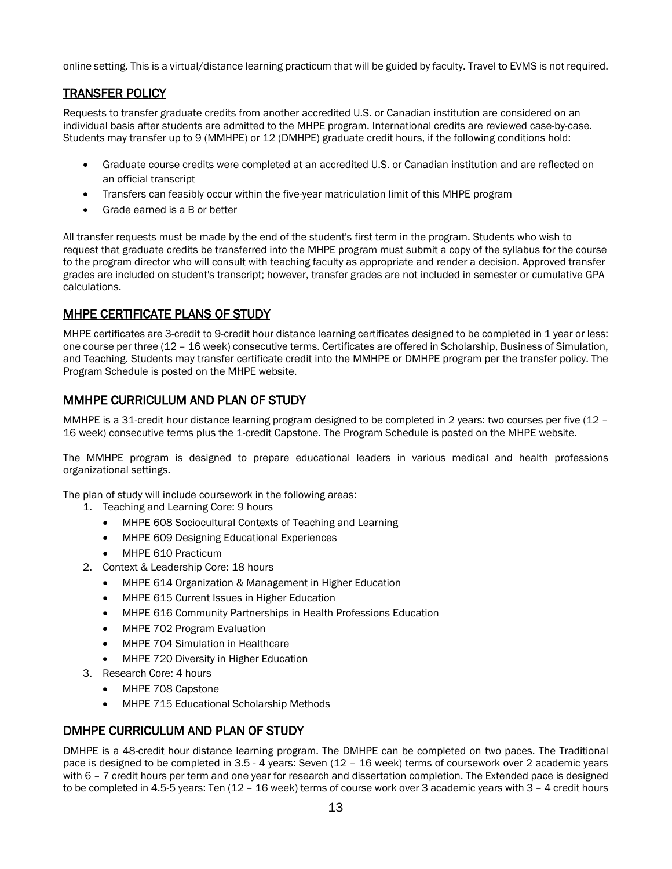online setting. This is a virtual/distance learning practicum that will be guided by faculty. Travel to EVMS is not required.

# <span id="page-12-0"></span>TRANSFER POLICY

Requests to transfer graduate credits from another accredited U.S. or Canadian institution are considered on an individual basis after students are admitted to the MHPE program. International credits are reviewed case-by-case. Students may transfer up to 9 (MMHPE) or 12 (DMHPE) graduate credit hours, if the following conditions hold:

- Graduate course credits were completed at an accredited U.S. or Canadian institution and are reflected on an official transcript
- Transfers can feasibly occur within the five-year matriculation limit of this MHPE program
- Grade earned is a B or better

All transfer requests must be made by the end of the student's first term in the program. Students who wish to request that graduate credits be transferred into the MHPE program must submit a copy of the syllabus for the course to the program director who will consult with teaching faculty as appropriate and render a decision. Approved transfer grades are included on student's transcript; however, transfer grades are not included in semester or cumulative GPA calculations.

# <span id="page-12-1"></span>MHPE CERTIFICATE PLANS OF STUDY

MHPE certificates are 3-credit to 9-credit hour distance learning certificates designed to be completed in 1 year or less: one course per three (12 – 16 week) consecutive terms. Certificates are offered in Scholarship, Business of Simulation, and Teaching. Students may transfer certificate credit into the MMHPE or DMHPE program per the transfer policy. The Program Schedule is posted on the MHPE website.

# <span id="page-12-2"></span>MMHPE CURRICULUM AND PLAN OF STUDY

MMHPE is a 31-credit hour distance learning program designed to be completed in 2 years: two courses per five (12 – 16 week) consecutive terms plus the 1-credit Capstone. The Program Schedule is posted on the MHPE website.

The MMHPE program is designed to prepare educational leaders in various medical and health professions organizational settings.

The plan of study will include coursework in the following areas:

- 1. Teaching and Learning Core: 9 hours
	- MHPE 608 Sociocultural Contexts of Teaching and Learning
	- MHPE 609 Designing Educational Experiences
	- MHPE 610 Practicum
- 2. Context & Leadership Core: 18 hours
	- MHPE 614 Organization & Management in Higher Education
	- MHPE 615 Current Issues in Higher Education
	- MHPE 616 Community Partnerships in Health Professions Education
	- MHPE 702 Program Evaluation
	- MHPE 704 Simulation in Healthcare
	- MHPE 720 Diversity in Higher Education
- 3. Research Core: 4 hours
	- MHPE 708 Capstone
	- MHPE 715 Educational Scholarship Methods

## <span id="page-12-3"></span>DMHPE CURRICULUM AND PLAN OF STUDY

DMHPE is a 48-credit hour distance learning program. The DMHPE can be completed on two paces. The Traditional pace is designed to be completed in 3.5 - 4 years: Seven (12 – 16 week) terms of coursework over 2 academic years with 6 – 7 credit hours per term and one year for research and dissertation completion. The Extended pace is designed to be completed in 4.5-5 years: Ten (12 – 16 week) terms of course work over 3 academic years with 3 – 4 credit hours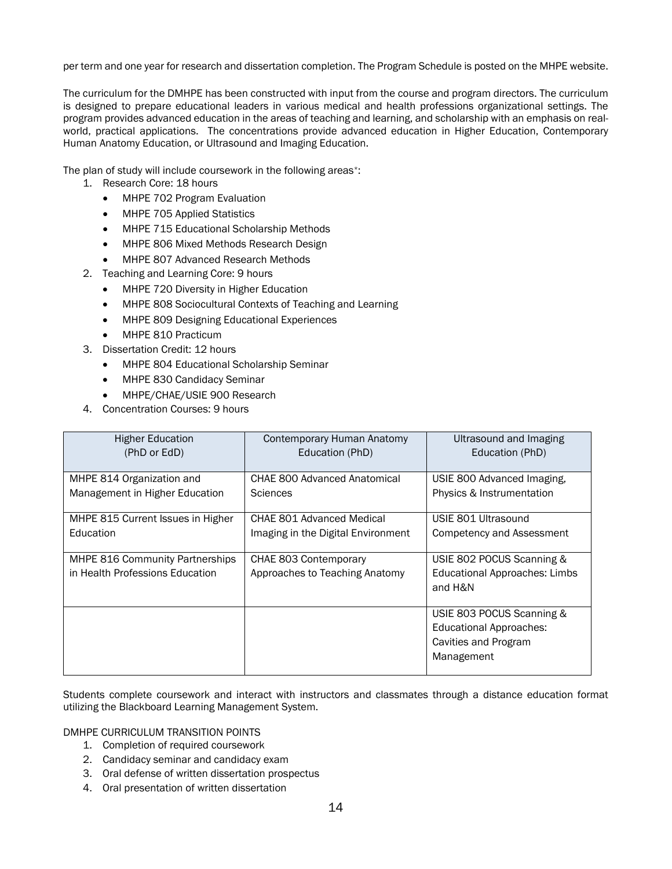per term and one year for research and dissertation completion. The Program Schedule is posted on the MHPE website.

The curriculum for the DMHPE has been constructed with input from the course and program directors. The curriculum is designed to prepare educational leaders in various medical and health professions organizational settings. The program provides advanced education in the areas of teaching and learning, and scholarship with an emphasis on realworld, practical applications. The concentrations provide advanced education in Higher Education, Contemporary Human Anatomy Education, or Ultrasound and Imaging Education.

The plan of study will include coursework in the following areas\*:

- 1. Research Core: 18 hours
	- MHPE 702 Program Evaluation
	- MHPE 705 Applied Statistics
	- MHPE 715 Educational Scholarship Methods
	- MHPE 806 Mixed Methods Research Design
	- MHPE 807 Advanced Research Methods
- 2. Teaching and Learning Core: 9 hours
	- MHPE 720 Diversity in Higher Education
	- MHPE 808 Sociocultural Contexts of Teaching and Learning
	- MHPE 809 Designing Educational Experiences
	- MHPE 810 Practicum
- 3. Dissertation Credit: 12 hours
	- MHPE 804 Educational Scholarship Seminar
	- MHPE 830 Candidacy Seminar
	- MHPE/CHAE/USIE 900 Research
- 4. Concentration Courses: 9 hours

| Higher Education                                                   | Contemporary Human Anatomy                              | Ultrasound and Imaging                                                                            |
|--------------------------------------------------------------------|---------------------------------------------------------|---------------------------------------------------------------------------------------------------|
| (PhD or EdD)                                                       | Education (PhD)                                         | Education (PhD)                                                                                   |
| MHPE 814 Organization and                                          | <b>CHAE 800 Advanced Anatomical</b>                     | USIE 800 Advanced Imaging,                                                                        |
| Management in Higher Education                                     | <b>Sciences</b>                                         | Physics & Instrumentation                                                                         |
| MHPE 815 Current Issues in Higher                                  | CHAE 801 Advanced Medical                               | USIE 801 Ultrasound                                                                               |
| Education                                                          | Imaging in the Digital Environment                      | Competency and Assessment                                                                         |
| MHPE 816 Community Partnerships<br>in Health Professions Education | CHAE 803 Contemporary<br>Approaches to Teaching Anatomy | USIE 802 POCUS Scanning &<br><b>Educational Approaches: Limbs</b><br>and H&N                      |
|                                                                    |                                                         | USIE 803 POCUS Scanning &<br><b>Educational Approaches:</b><br>Cavities and Program<br>Management |

Students complete coursework and interact with instructors and classmates through a distance education format utilizing the Blackboard Learning Management System.

<span id="page-13-0"></span>DMHPE CURRICULUM TRANSITION POINTS

- 1. Completion of required coursework
- 2. Candidacy seminar and candidacy exam
- 3. Oral defense of written dissertation prospectus
- 4. Oral presentation of written dissertation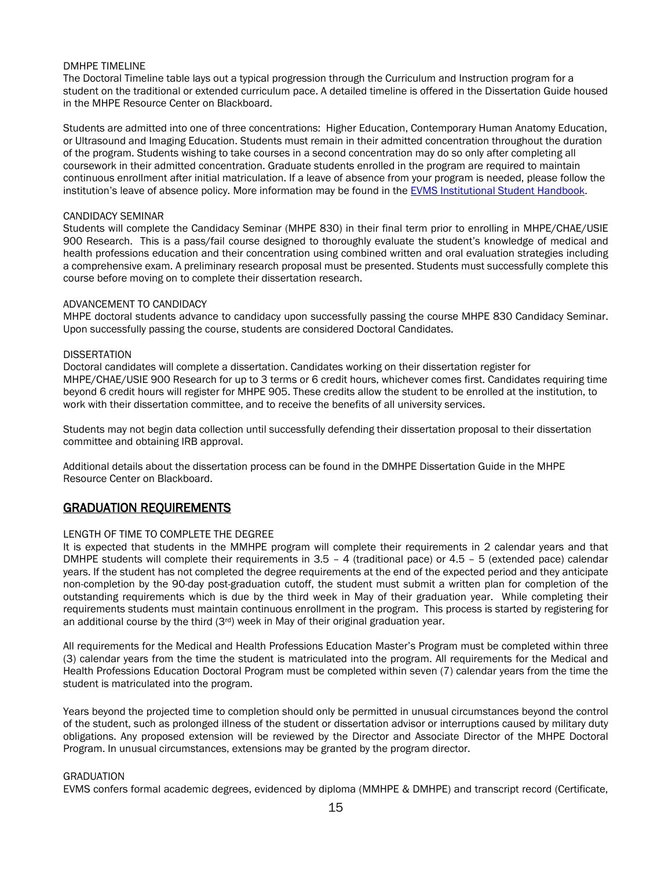#### <span id="page-14-0"></span>DMHPE TIMELINE

The Doctoral Timeline table lays out a typical progression through the Curriculum and Instruction program for a student on the traditional or extended curriculum pace. A detailed timeline is offered in the Dissertation Guide housed in the MHPE Resource Center on Blackboard.

Students are admitted into one of three concentrations: Higher Education, Contemporary Human Anatomy Education, or Ultrasound and Imaging Education. Students must remain in their admitted concentration throughout the duration of the program. Students wishing to take courses in a second concentration may do so only after completing all coursework in their admitted concentration. Graduate students enrolled in the program are required to maintain continuous enrollment after initial matriculation. If a leave of absence from your program is needed, please follow the institution's leave of absence policy. More information may be found in the EVMS [Institutional Student Handbook.](https://www.evms.edu/education/resources/student_policies_handbooks/institutional_student_handbook/)

#### <span id="page-14-1"></span>CANDIDACY SEMINAR

Students will complete the Candidacy Seminar (MHPE 830) in their final term prior to enrolling in MHPE/CHAE/USIE 900 Research. This is a pass/fail course designed to thoroughly evaluate the student's knowledge of medical and health professions education and their concentration using combined written and oral evaluation strategies including a comprehensive exam. A preliminary research proposal must be presented. Students must successfully complete this course before moving on to complete their dissertation research.

#### <span id="page-14-2"></span>ADVANCEMENT TO CANDIDACY

MHPE doctoral students advance to candidacy upon successfully passing the course MHPE 830 Candidacy Seminar. Upon successfully passing the course, students are considered Doctoral Candidates.

#### <span id="page-14-3"></span>**DISSERTATION**

Doctoral candidates will complete a dissertation. Candidates working on their dissertation register for MHPE/CHAE/USIE 900 Research for up to 3 terms or 6 credit hours, whichever comes first. Candidates requiring time beyond 6 credit hours will register for MHPE 905. These credits allow the student to be enrolled at the institution, to work with their dissertation committee, and to receive the benefits of all university services.

Students may not begin data collection until successfully defending their dissertation proposal to their dissertation committee and obtaining IRB approval.

Additional details about the dissertation process can be found in the DMHPE Dissertation Guide in the MHPE Resource Center on Blackboard.

## <span id="page-14-4"></span>GRADUATION REQUIREMENTS

## <span id="page-14-5"></span>LENGTH OF TIME TO COMPLETE THE DEGREE

It is expected that students in the MMHPE program will complete their requirements in 2 calendar years and that DMHPE students will complete their requirements in 3.5 – 4 (traditional pace) or 4.5 – 5 (extended pace) calendar years. If the student has not completed the degree requirements at the end of the expected period and they anticipate non-completion by the 90-day post-graduation cutoff, the student must submit a written plan for completion of the outstanding requirements which is due by the third week in May of their graduation year. While completing their requirements students must maintain continuous enrollment in the program. This process is started by registering for an additional course by the third  $(3<sup>rd</sup>)$  week in May of their original graduation year.

All requirements for the Medical and Health Professions Education Master's Program must be completed within three (3) calendar years from the time the student is matriculated into the program. All requirements for the Medical and Health Professions Education Doctoral Program must be completed within seven (7) calendar years from the time the student is matriculated into the program.

Years beyond the projected time to completion should only be permitted in unusual circumstances beyond the control of the student, such as prolonged illness of the student or dissertation advisor or interruptions caused by military duty obligations. Any proposed extension will be reviewed by the Director and Associate Director of the MHPE Doctoral Program. In unusual circumstances, extensions may be granted by the program director.

#### <span id="page-14-6"></span>GRADUATION

EVMS confers formal academic degrees, evidenced by diploma (MMHPE & DMHPE) and transcript record (Certificate,